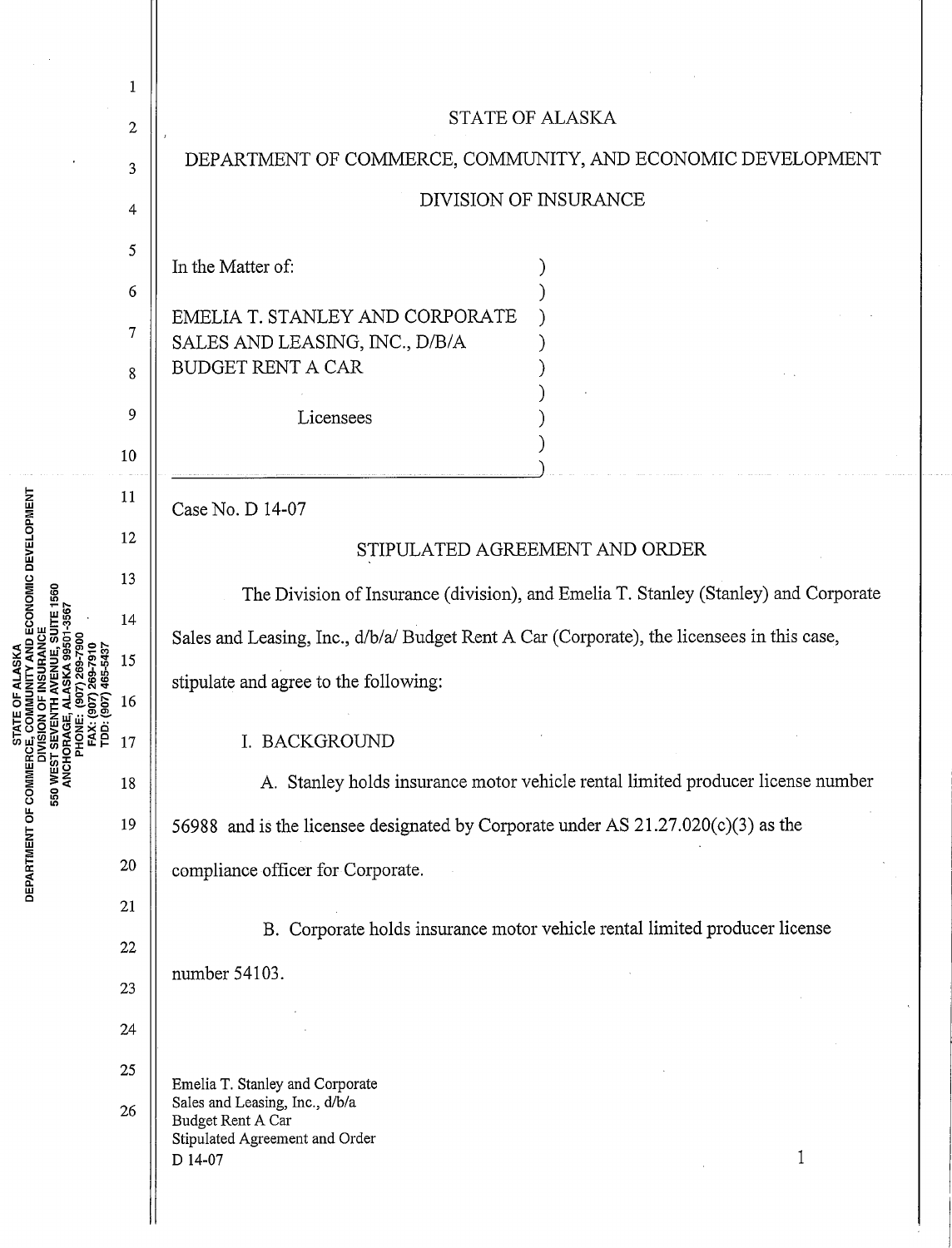| DEPARTMENT OF COMMERCE, COMMUNITY, AND ECONOMIC DEVELOPMENT                                                                         |  |  |  |
|-------------------------------------------------------------------------------------------------------------------------------------|--|--|--|
|                                                                                                                                     |  |  |  |
|                                                                                                                                     |  |  |  |
|                                                                                                                                     |  |  |  |
|                                                                                                                                     |  |  |  |
|                                                                                                                                     |  |  |  |
|                                                                                                                                     |  |  |  |
|                                                                                                                                     |  |  |  |
|                                                                                                                                     |  |  |  |
| STIPULATED AGREEMENT AND ORDER                                                                                                      |  |  |  |
|                                                                                                                                     |  |  |  |
| The Division of Insurance (division), and Emelia T. Stanley (Stanley) and Corporate                                                 |  |  |  |
| Sales and Leasing, Inc., d/b/a/ Budget Rent A Car (Corporate), the licensees in this case,<br>stipulate and agree to the following: |  |  |  |
|                                                                                                                                     |  |  |  |
|                                                                                                                                     |  |  |  |
| A. Stanley holds insurance motor vehicle rental limited producer license number                                                     |  |  |  |
| 56988 and is the licensee designated by Corporate under AS 21.27.020(c)(3) as the                                                   |  |  |  |
| compliance officer for Corporate.                                                                                                   |  |  |  |
| B. Corporate holds insurance motor vehicle rental limited producer license                                                          |  |  |  |
|                                                                                                                                     |  |  |  |
|                                                                                                                                     |  |  |  |
|                                                                                                                                     |  |  |  |
|                                                                                                                                     |  |  |  |
|                                                                                                                                     |  |  |  |
| 1                                                                                                                                   |  |  |  |
|                                                                                                                                     |  |  |  |
| DIVISION OF INSURANCE                                                                                                               |  |  |  |

. . . . . .

LI. 0 i<br>2 ~ <sup>~</sup><sup>w</sup> Cl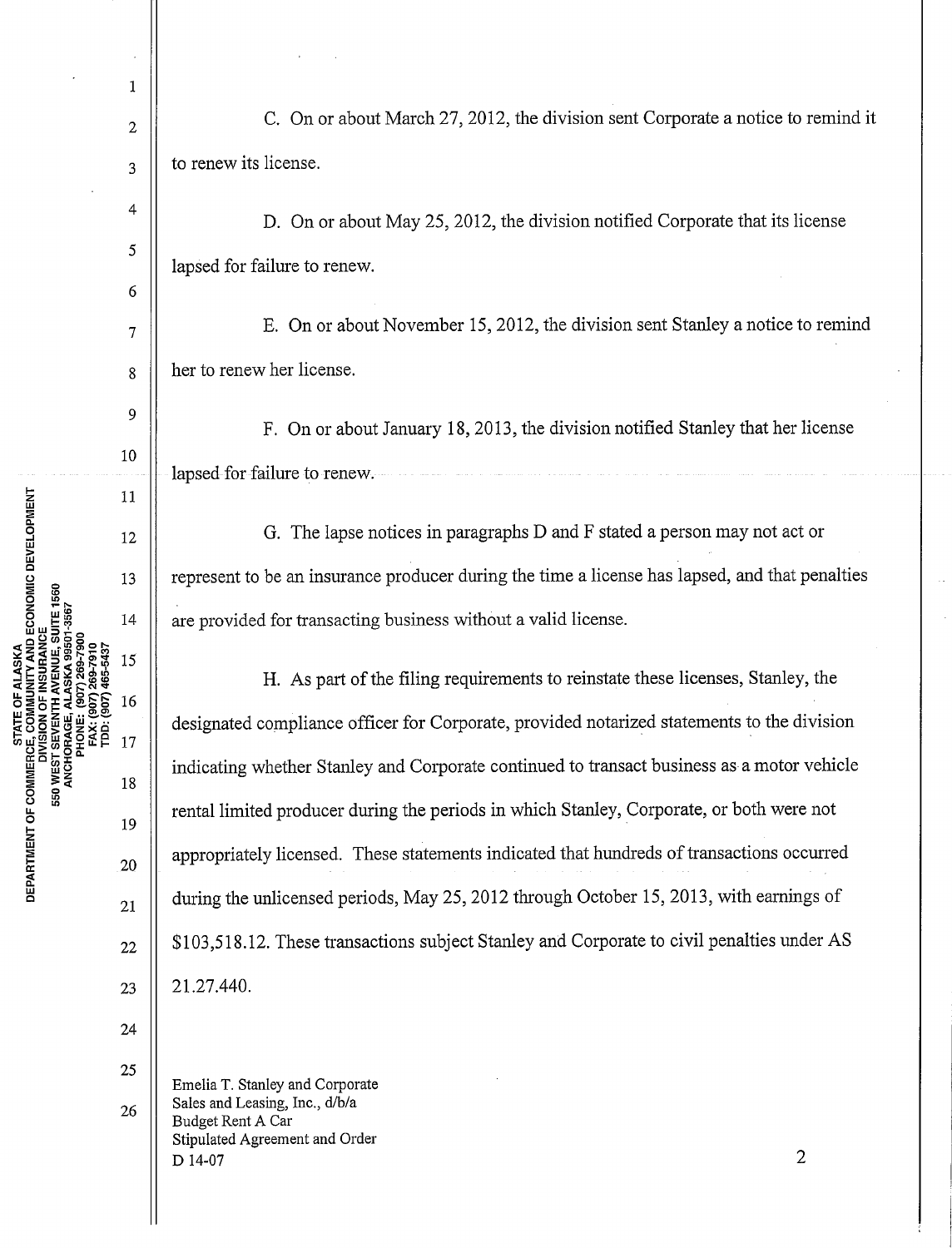1

4

5

6

9

10

11

12

13

14

15

16

ä 17

2  $\parallel$  C. On or about March 27, 2012, the division sent Corporate a notice to remind it  $3 \parallel$  to renew its license.

D. On or about May 25, 2012, the division notified Corporate that its license lapsed for failure to renew.

 $7 \parallel$  E. On or about November 15, 2012, the division sent Stanley a notice to remind 8 | her to renew her license.

F. On or about January 18, 2013, the division notified Stanley that her license lapsed for failure to renew.

G. The lapse notices in paragraphs D and F stated a person may not act or represent to be an insurance producer during the time a license has lapsed, and that penalties are provided for transacting business without a valid license.

H. As part of the filing requirements to reinstate these licenses, Stanley, the designated compliance officer for Corporate, provided notarized statements to the division indicating whether Stanley and Corporate continued to transact business as a motor vehicle rental limited producer during the periods in which Stanley, Corporate, or both were not appropriately licensed. These statements indicated that hundreds of transactions occurred during the unlicensed periods, May 25, 2012 through October 15, 2013, with earnings of \$103,518.12. These transactions subject Stanley and Corporate to civil penalties under AS 21.27.440.

24

19

18

20

21

22

23

u.. 0

RCE, COMMUNITY AND ECONOMIC DEVELOPMENT<br>DIVISION OF INSURANCE<br>ST SEVENTH AVENUE, SUITE 1560

**IORAGE** 

550 WEST

STATE OF ALASKA

RTMEN<sup>-</sup>

ដ<br>¤

25 26 Emelia T. Stanley and Corporate Sales and Leasing, Inc., d/b/a Budget Rent A Car Stipulated Agreement and Order  $D$  14-07 2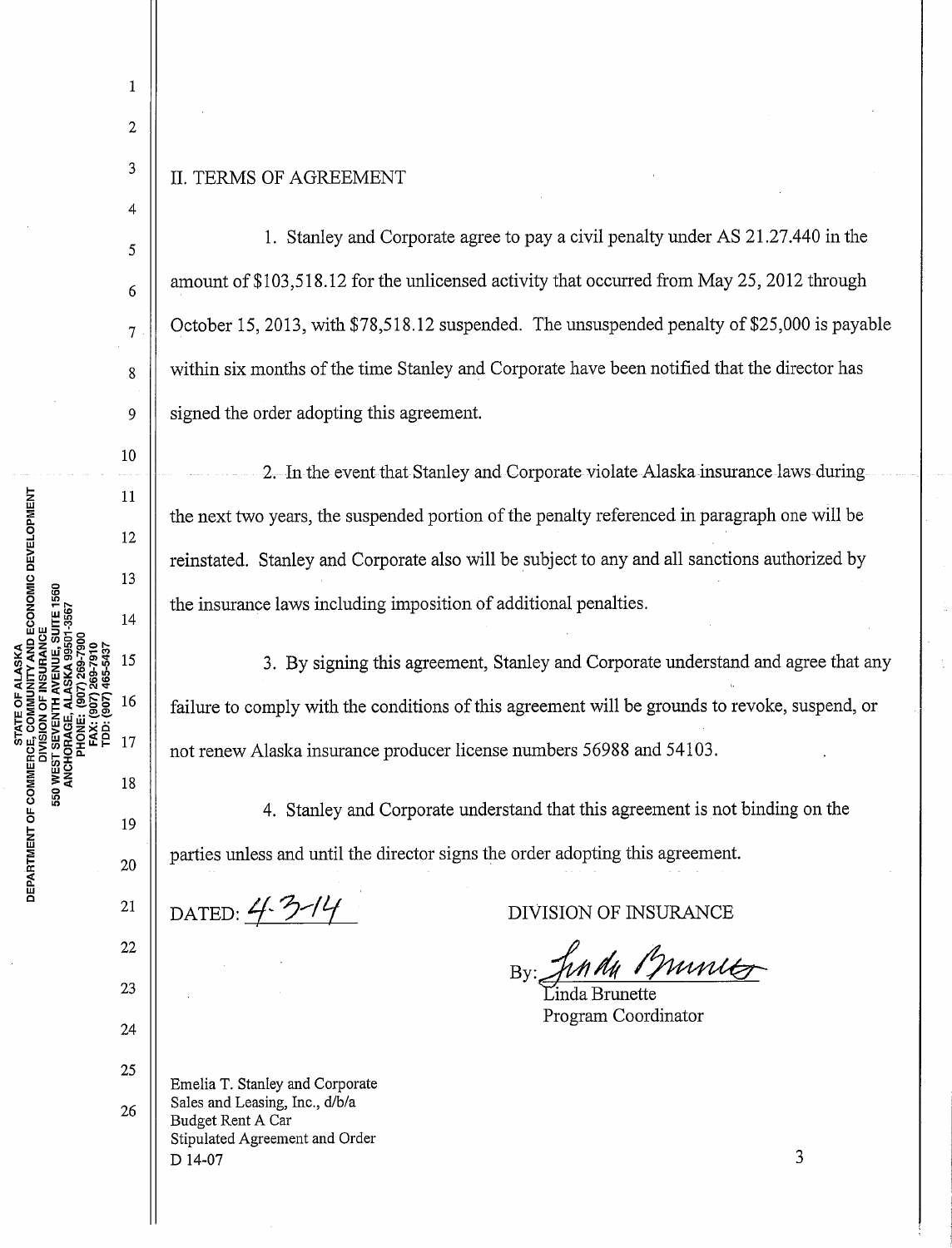1

2

3

4

5

6

7

8

9

10

11

12

13

 $14$ 

15

16

 $17$ 

19

18

20

21

22

23

24

## II. TERMS OF AGREEMENT

1. Stanley and Corporate agree to pay a civil penalty under AS 21.27.440 in the amount of \$103,518.12 for the unlicensed activity that occurred from May 25, 2012 through October 15, 2013, with \$78,518.12 suspended. The unsuspended penalty of \$25,000 is payable within six months of the time Stanley and Corporate have been notified that the director has signed the order adopting this agreement.

2. In the event that Stanley and Corporate violate Alaska-insurance laws during the next two years, the suspended portion of the penalty referenced in paragraph one will be reinstated. Stanley and Corporate also will be subject to any and all sanctions authorized by the insurance laws including imposition of additional penalties.

3. By signing this agreement, Stanley and Corporate understand and agree that any failure to comply with the conditions of this agreement will be grounds to revoke, suspend, or not renew Alaska insurance producer license numbers 56988 and 54103.

4. Stanley and Corporate understand that this agreement is not binding on the parties unless and until the director signs the order adopting this agreement.

DATED: 4-3-14

**u..**  0

COMMUNITY AND ECONOMIC DEVELOPMENT

ő

INSURANCE

DIVISION OF **JEVEN** 

**550 WEST** 

**RTMEN** 

~ **w 0** 

DIVISION OF INSURANCE

Jun dy Pruntes

Program Coordinator

25 26 Emelia T. Stanley and Corporate Sales and Leasing, Inc., d/b/a Budget Rent A Car Stipulated Agreement and Order D 14-07

3